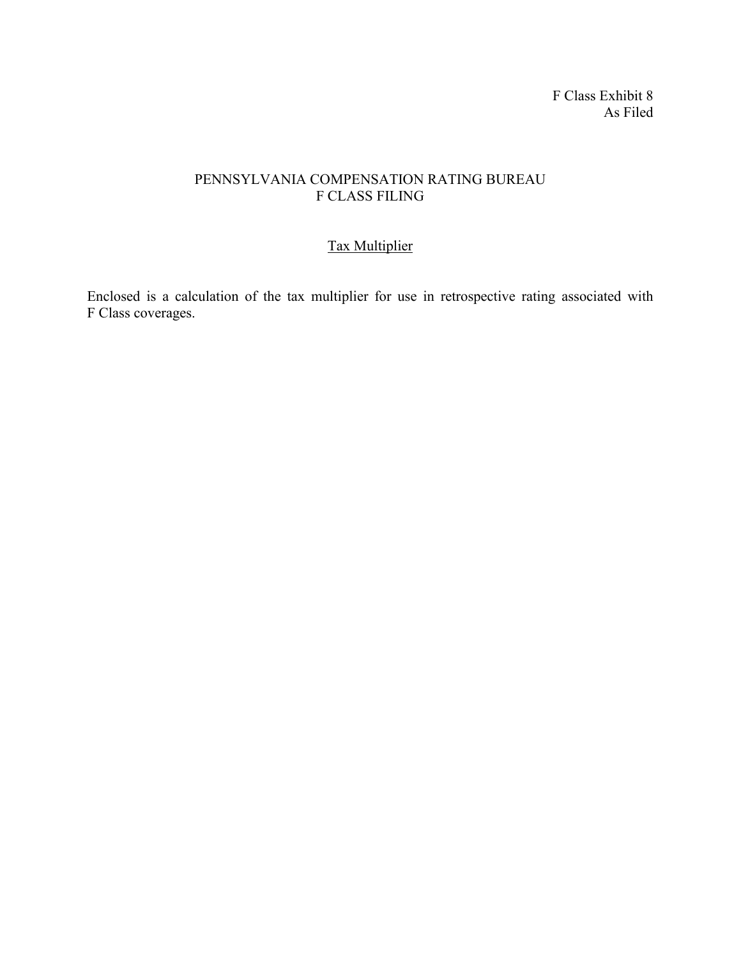F Class Exhibit 8 As Filed

## PENNSYLVANIA COMPENSATION RATING BUREAU F CLASS FILING

## Tax Multiplier

Enclosed is a calculation of the tax multiplier for use in retrospective rating associated with F Class coverages.